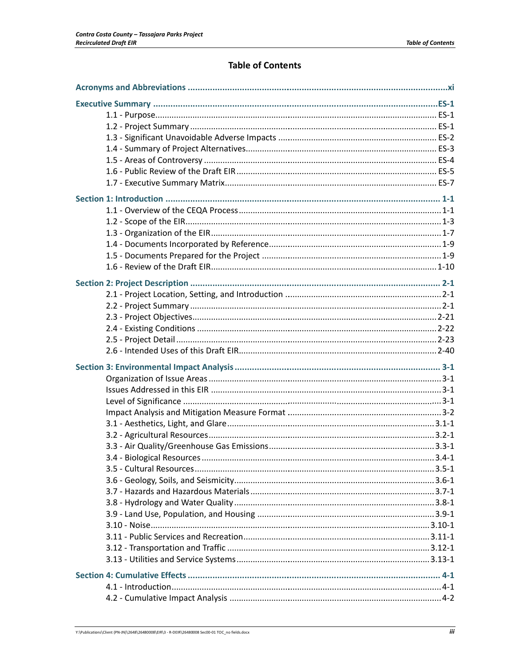# **Table of Contents**

| $-3.4 - 1$ |
|------------|
|            |
|            |
|            |
|            |
|            |
|            |
|            |
|            |
|            |
|            |
|            |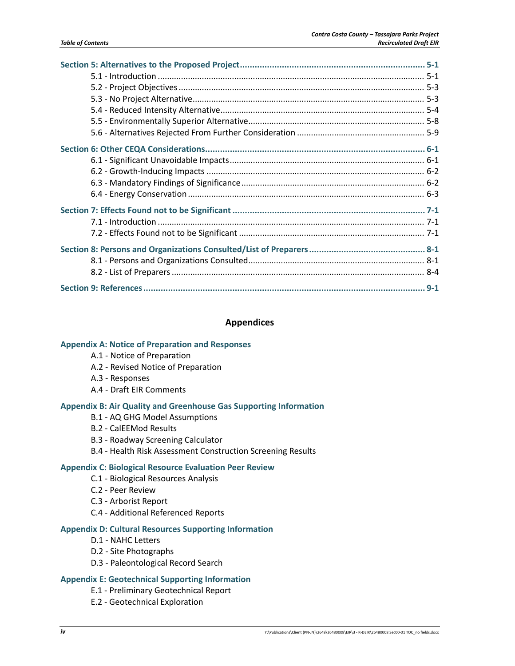#### **Appendices**

#### **Appendix A: Notice of Preparation and Responses**

- A.1 ‐ Notice of Preparation
- A.2 ‐ Revised Notice of Preparation
- A.3 ‐ Responses
- A.4 ‐ Draft EIR Comments

#### **Appendix B: Air Quality and Greenhouse Gas Supporting Information**

- B.1 ‐ AQ GHG Model Assumptions
- B.2 ‐ CalEEMod Results
- B.3 ‐ Roadway Screening Calculator
- B.4 ‐ Health Risk Assessment Construction Screening Results

#### **Appendix C: Biological Resource Evaluation Peer Review**

- C.1 ‐ Biological Resources Analysis
- C.2 ‐ Peer Review
- C.3 ‐ Arborist Report
- C.4 ‐ Additional Referenced Reports

#### **Appendix D: Cultural Resources Supporting Information**

- D.1 ‐ NAHC Letters
- D.2 ‐ Site Photographs
- D.3 ‐ Paleontological Record Search

#### **Appendix E: Geotechnical Supporting Information**

- E.1 ‐ Preliminary Geotechnical Report
- E.2 ‐ Geotechnical Exploration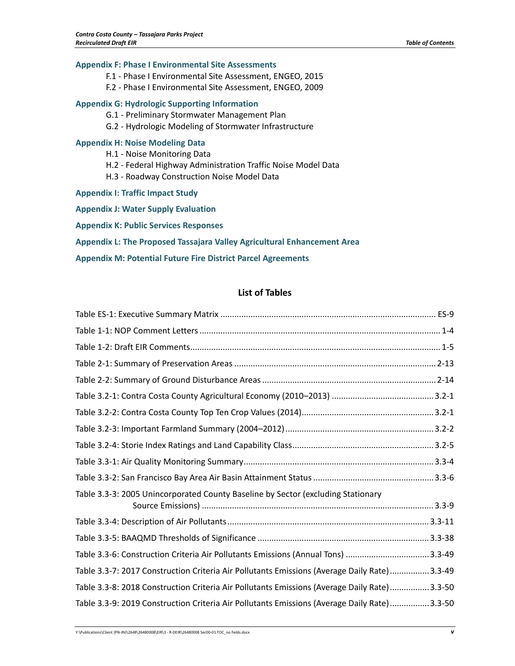#### **Appendix F: Phase I Environmental Site Assessments**

- F.1 ‐ Phase I Environmental Site Assessment, ENGEO, 2015
- F.2 ‐ Phase I Environmental Site Assessment, ENGEO, 2009

### **Appendix G: Hydrologic Supporting Information**

- G.1 ‐ Preliminary Stormwater Management Plan
- G.2 ‐ Hydrologic Modeling of Stormwater Infrastructure

#### **Appendix H: Noise Modeling Data**

- H.1 ‐ Noise Monitoring Data
- H.2 ‐ Federal Highway Administration Traffic Noise Model Data
- H.3 ‐ Roadway Construction Noise Model Data
- **Appendix I: Traffic Impact Study**
- **Appendix J: Water Supply Evaluation**
- **Appendix K: Public Services Responses**

**Appendix L: The Proposed Tassajara Valley Agricultural Enhancement Area**

**Appendix M: Potential Future Fire District Parcel Agreements**

### **List of Tables**

| Table 3.3-3: 2005 Unincorporated County Baseline by Sector (excluding Stationary             |
|----------------------------------------------------------------------------------------------|
|                                                                                              |
|                                                                                              |
|                                                                                              |
| Table 3.3-7: 2017 Construction Criteria Air Pollutants Emissions (Average Daily Rate)3.3-49  |
| Table 3.3-8: 2018 Construction Criteria Air Pollutants Emissions (Average Daily Rate) 3.3-50 |
| Table 3.3-9: 2019 Construction Criteria Air Pollutants Emissions (Average Daily Rate) 3.3-50 |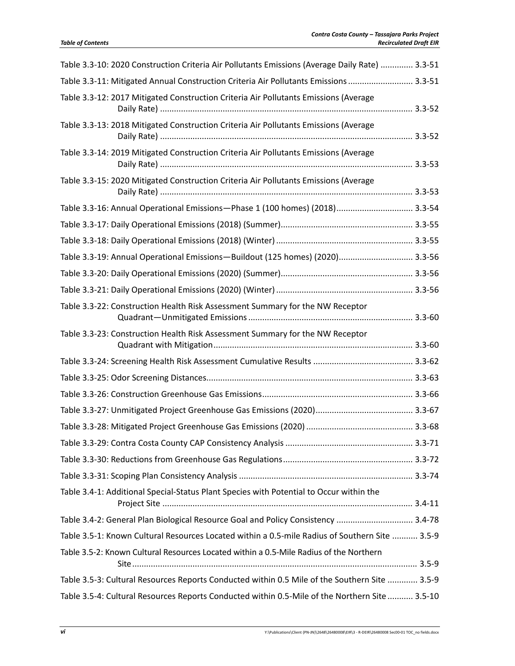| Table 3.3-10: 2020 Construction Criteria Air Pollutants Emissions (Average Daily Rate)  3.3-51 |
|------------------------------------------------------------------------------------------------|
| Table 3.3-11: Mitigated Annual Construction Criteria Air Pollutants Emissions  3.3-51          |
| Table 3.3-12: 2017 Mitigated Construction Criteria Air Pollutants Emissions (Average           |
| Table 3.3-13: 2018 Mitigated Construction Criteria Air Pollutants Emissions (Average           |
| Table 3.3-14: 2019 Mitigated Construction Criteria Air Pollutants Emissions (Average           |
| Table 3.3-15: 2020 Mitigated Construction Criteria Air Pollutants Emissions (Average           |
| Table 3.3-16: Annual Operational Emissions-Phase 1 (100 homes) (2018) 3.3-54                   |
|                                                                                                |
|                                                                                                |
| Table 3.3-19: Annual Operational Emissions-Buildout (125 homes) (2020) 3.3-56                  |
|                                                                                                |
|                                                                                                |
| Table 3.3-22: Construction Health Risk Assessment Summary for the NW Receptor                  |
| Table 3.3-23: Construction Health Risk Assessment Summary for the NW Receptor                  |
|                                                                                                |
|                                                                                                |
|                                                                                                |
|                                                                                                |
|                                                                                                |
|                                                                                                |
|                                                                                                |
|                                                                                                |
| Table 3.4-1: Additional Special-Status Plant Species with Potential to Occur within the        |
| Table 3.4-2: General Plan Biological Resource Goal and Policy Consistency  3.4-78              |
| Table 3.5-1: Known Cultural Resources Located within a 0.5-mile Radius of Southern Site  3.5-9 |
| Table 3.5-2: Known Cultural Resources Located within a 0.5-Mile Radius of the Northern         |
| Table 3.5-3: Cultural Resources Reports Conducted within 0.5 Mile of the Southern Site  3.5-9  |
| Table 3.5-4: Cultural Resources Reports Conducted within 0.5-Mile of the Northern Site  3.5-10 |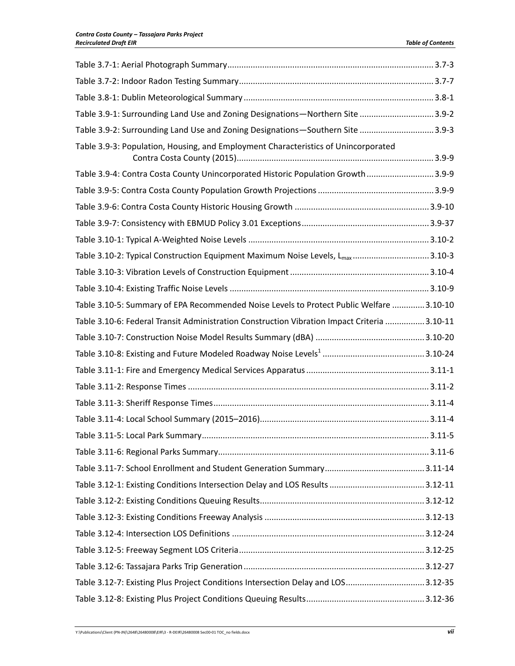| Table 3.9-1: Surrounding Land Use and Zoning Designations-Northern Site 3.9-2                |  |
|----------------------------------------------------------------------------------------------|--|
| Table 3.9-2: Surrounding Land Use and Zoning Designations-Southern Site 3.9-3                |  |
| Table 3.9-3: Population, Housing, and Employment Characteristics of Unincorporated           |  |
| Table 3.9-4: Contra Costa County Unincorporated Historic Population Growth  3.9-9            |  |
|                                                                                              |  |
|                                                                                              |  |
|                                                                                              |  |
|                                                                                              |  |
| Table 3.10-2: Typical Construction Equipment Maximum Noise Levels, L <sub>max</sub> 3.10-3   |  |
|                                                                                              |  |
|                                                                                              |  |
| Table 3.10-5: Summary of EPA Recommended Noise Levels to Protect Public Welfare 3.10-10      |  |
| Table 3.10-6: Federal Transit Administration Construction Vibration Impact Criteria  3.10-11 |  |
|                                                                                              |  |
|                                                                                              |  |
|                                                                                              |  |
|                                                                                              |  |
|                                                                                              |  |
|                                                                                              |  |
|                                                                                              |  |
|                                                                                              |  |
|                                                                                              |  |
|                                                                                              |  |
|                                                                                              |  |
|                                                                                              |  |
|                                                                                              |  |
|                                                                                              |  |
|                                                                                              |  |
| Table 3.12-7: Existing Plus Project Conditions Intersection Delay and LOS3.12-35             |  |
|                                                                                              |  |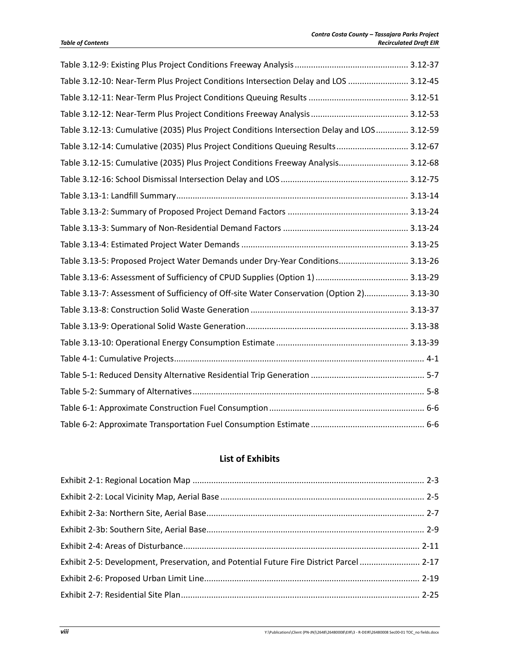| Table 3.12-10: Near-Term Plus Project Conditions Intersection Delay and LOS  3.12-45        |  |
|---------------------------------------------------------------------------------------------|--|
|                                                                                             |  |
|                                                                                             |  |
| Table 3.12-13: Cumulative (2035) Plus Project Conditions Intersection Delay and LOS 3.12-59 |  |
| Table 3.12-14: Cumulative (2035) Plus Project Conditions Queuing Results 3.12-67            |  |
| Table 3.12-15: Cumulative (2035) Plus Project Conditions Freeway Analysis 3.12-68           |  |
|                                                                                             |  |
|                                                                                             |  |
|                                                                                             |  |
|                                                                                             |  |
|                                                                                             |  |
| Table 3.13-5: Proposed Project Water Demands under Dry-Year Conditions 3.13-26              |  |
|                                                                                             |  |
| Table 3.13-7: Assessment of Sufficiency of Off-site Water Conservation (Option 2) 3.13-30   |  |
|                                                                                             |  |
|                                                                                             |  |
|                                                                                             |  |
|                                                                                             |  |
|                                                                                             |  |
|                                                                                             |  |
|                                                                                             |  |
|                                                                                             |  |

## **List of Exhibits**

| Exhibit 2-5: Development, Preservation, and Potential Future Fire District Parcel  2-17 |  |
|-----------------------------------------------------------------------------------------|--|
|                                                                                         |  |
|                                                                                         |  |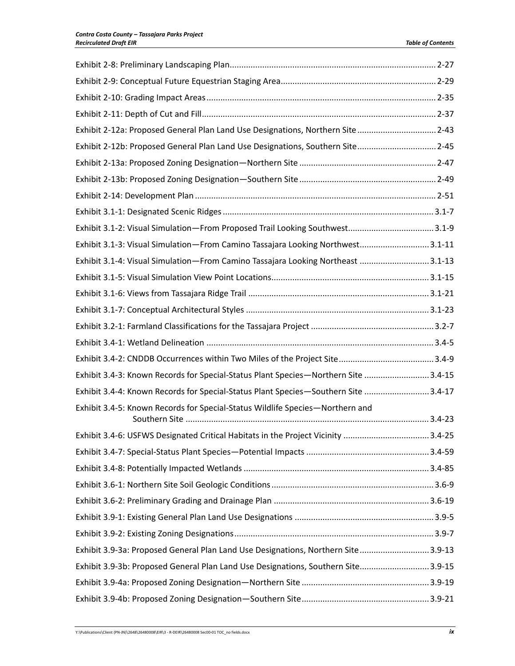| Exhibit 2-12a: Proposed General Plan Land Use Designations, Northern Site  2-43    |  |
|------------------------------------------------------------------------------------|--|
| Exhibit 2-12b: Proposed General Plan Land Use Designations, Southern Site 2-45     |  |
|                                                                                    |  |
|                                                                                    |  |
|                                                                                    |  |
|                                                                                    |  |
| Exhibit 3.1-2: Visual Simulation-From Proposed Trail Looking Southwest3.1-9        |  |
| Exhibit 3.1-3: Visual Simulation-From Camino Tassajara Looking Northwest 3.1-11    |  |
| Exhibit 3.1-4: Visual Simulation-From Camino Tassajara Looking Northeast 3.1-13    |  |
|                                                                                    |  |
|                                                                                    |  |
|                                                                                    |  |
|                                                                                    |  |
|                                                                                    |  |
|                                                                                    |  |
| Exhibit 3.4-3: Known Records for Special-Status Plant Species-Northern Site 3.4-15 |  |
| Exhibit 3.4-4: Known Records for Special-Status Plant Species-Southern Site 3.4-17 |  |
| Exhibit 3.4-5: Known Records for Special-Status Wildlife Species-Northern and      |  |
| Exhibit 3.4-6: USFWS Designated Critical Habitats in the Project Vicinity 3.4-25   |  |
|                                                                                    |  |
|                                                                                    |  |
|                                                                                    |  |
|                                                                                    |  |
|                                                                                    |  |
|                                                                                    |  |
| Exhibit 3.9-3a: Proposed General Plan Land Use Designations, Northern Site3.9-13   |  |
| Exhibit 3.9-3b: Proposed General Plan Land Use Designations, Southern Site3.9-15   |  |
|                                                                                    |  |
|                                                                                    |  |